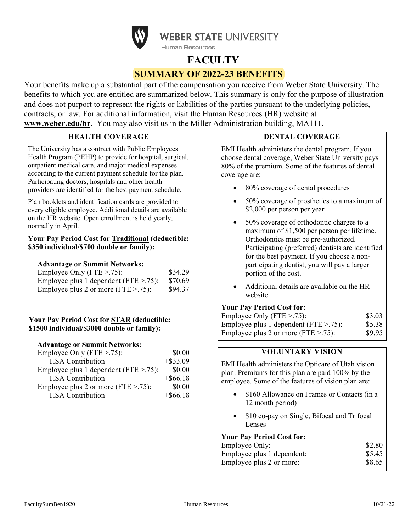

# **FACULTY SUMMARY OF 2022-23 BENEFITS**

Your benefits make up a substantial part of the compensation you receive from Weber State University. The benefits to which you are entitled are summarized below. This summary is only for the purpose of illustration and does not purport to represent the rights or liabilities of the parties pursuant to the underlying policies, contracts, or law. For additional information, visit the Human Resources (HR) website at **[www.weber.edu/hr](http://www.weber.edu/hr)**. You may also visit us in the Miller Administration building, MA111.

# **HEALTH COVERAGE**

The University has a contract with Public Employees Health Program (PEHP) to provide for hospital, surgical, outpatient medical care, and major medical expenses according to the current payment schedule for the plan. Participating doctors, hospitals and other health providers are identified for the best payment schedule.

Plan booklets and identification cards are provided to every eligible employee. Additional details are available on the HR website. Open enrollment is held yearly, normally in April.

### **Your Pay Period Cost for Traditional (deductible: \$350 individual/\$700 double or family):**

#### **Advantage or Summit Networks:**

| Employee Only (FTE $> 0.75$ ):                    | \$34.29 |
|---------------------------------------------------|---------|
| Employee plus 1 dependent ( $\text{FTE} > .75$ ): | \$70.69 |
| Employee plus 2 or more (FTE $> .75$ ):           | \$94.37 |

#### **Your Pay Period Cost for STAR (deductible: \$1500 individual/\$3000 double or family):**

#### **Advantage or Summit Networks:**

| Employee Only (FTE $> 75$ ):               | \$0.00      |
|--------------------------------------------|-------------|
| <b>HSA</b> Contribution                    | $+$ \$33.09 |
| Employee plus 1 dependent ( $FTE > .75$ ): | \$0.00      |
| <b>HSA</b> Contribution                    | $+$ \$66.18 |
| Employee plus 2 or more (FTE $> .75$ ):    | \$0.00      |
| <b>HSA</b> Contribution                    | $+$ \$66.18 |
|                                            |             |

# **DENTAL COVERAGE**

EMI Health administers the dental program. If you choose dental coverage, Weber State University pays 80% of the premium. Some of the features of dental coverage are:

- 80% coverage of dental procedures
- 50% coverage of prosthetics to a maximum of \$2,000 per person per year
- 50% coverage of orthodontic charges to a maximum of \$1,500 per person per lifetime. Orthodontics must be pre-authorized. Participating (preferred) dentists are identified for the best payment. If you choose a nonparticipating dentist, you will pay a larger portion of the cost.
- Additional details are available on the HR website.

#### **Your Pay Period Cost for:**

| Employee Only (FTE $> 75$ ):               | \$3.03 |
|--------------------------------------------|--------|
| Employee plus 1 dependent ( $FTE > .75$ ): | \$5.38 |
| Employee plus 2 or more (FTE $> .75$ ):    | \$9.95 |

# **VOLUNTARY VISION**

EMI Health administers the Opticare of Utah vision plan. Premiums for this plan are paid 100% by the employee. Some of the features of vision plan are:

- \$160 Allowance on Frames or Contacts (in a 12 month period)
- \$10 co-pay on Single, Bifocal and Trifocal Lenses

## **Your Pay Period Cost for:**

| Employee Only:             | \$2.80 |
|----------------------------|--------|
| Employee plus 1 dependent: | \$5.45 |
| Employee plus 2 or more:   | \$8.65 |